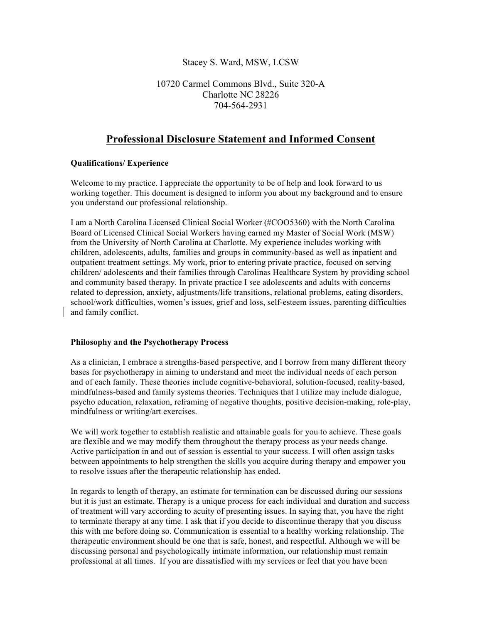## Stacey S. Ward, MSW, LCSW

## 10720 Carmel Commons Blvd., Suite 320-A Charlotte NC 28226 704-564-2931

# **Professional Disclosure Statement and Informed Consent**

#### **Qualifications/ Experience**

Welcome to my practice. I appreciate the opportunity to be of help and look forward to us working together. This document is designed to inform you about my background and to ensure you understand our professional relationship.

I am a North Carolina Licensed Clinical Social Worker (#COO5360) with the North Carolina Board of Licensed Clinical Social Workers having earned my Master of Social Work (MSW) from the University of North Carolina at Charlotte. My experience includes working with children, adolescents, adults, families and groups in community-based as well as inpatient and outpatient treatment settings. My work, prior to entering private practice, focused on serving children/ adolescents and their families through Carolinas Healthcare System by providing school and community based therapy. In private practice I see adolescents and adults with concerns related to depression, anxiety, adjustments/life transitions, relational problems, eating disorders, school/work difficulties, women's issues, grief and loss, self-esteem issues, parenting difficulties and family conflict.

#### **Philosophy and the Psychotherapy Process**

As a clinician, I embrace a strengths-based perspective, and I borrow from many different theory bases for psychotherapy in aiming to understand and meet the individual needs of each person and of each family. These theories include cognitive-behavioral, solution-focused, reality-based, mindfulness-based and family systems theories. Techniques that I utilize may include dialogue, psycho education, relaxation, reframing of negative thoughts, positive decision-making, role-play, mindfulness or writing/art exercises.

We will work together to establish realistic and attainable goals for you to achieve. These goals are flexible and we may modify them throughout the therapy process as your needs change. Active participation in and out of session is essential to your success. I will often assign tasks between appointments to help strengthen the skills you acquire during therapy and empower you to resolve issues after the therapeutic relationship has ended.

In regards to length of therapy, an estimate for termination can be discussed during our sessions but it is just an estimate. Therapy is a unique process for each individual and duration and success of treatment will vary according to acuity of presenting issues. In saying that, you have the right to terminate therapy at any time. I ask that if you decide to discontinue therapy that you discuss this with me before doing so. Communication is essential to a healthy working relationship. The therapeutic environment should be one that is safe, honest, and respectful. Although we will be discussing personal and psychologically intimate information, our relationship must remain professional at all times. If you are dissatisfied with my services or feel that you have been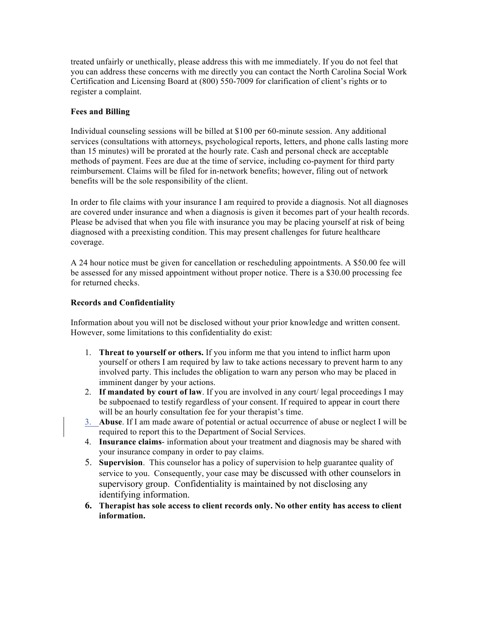treated unfairly or unethically, please address this with me immediately. If you do not feel that you can address these concerns with me directly you can contact the North Carolina Social Work Certification and Licensing Board at (800) 550-7009 for clarification of client's rights or to register a complaint.

#### **Fees and Billing**

Individual counseling sessions will be billed at \$100 per 60-minute session. Any additional services (consultations with attorneys, psychological reports, letters, and phone calls lasting more than 15 minutes) will be prorated at the hourly rate. Cash and personal check are acceptable methods of payment. Fees are due at the time of service, including co-payment for third party reimbursement. Claims will be filed for in-network benefits; however, filing out of network benefits will be the sole responsibility of the client.

In order to file claims with your insurance I am required to provide a diagnosis. Not all diagnoses are covered under insurance and when a diagnosis is given it becomes part of your health records. Please be advised that when you file with insurance you may be placing yourself at risk of being diagnosed with a preexisting condition. This may present challenges for future healthcare coverage.

A 24 hour notice must be given for cancellation or rescheduling appointments. A \$50.00 fee will be assessed for any missed appointment without proper notice. There is a \$30.00 processing fee for returned checks.

## **Records and Confidentiality**

Information about you will not be disclosed without your prior knowledge and written consent. However, some limitations to this confidentiality do exist:

- 1. **Threat to yourself or others.** If you inform me that you intend to inflict harm upon yourself or others I am required by law to take actions necessary to prevent harm to any involved party. This includes the obligation to warn any person who may be placed in imminent danger by your actions.
- 2. **If mandated by court of law**. If you are involved in any court/ legal proceedings I may be subpoenaed to testify regardless of your consent. If required to appear in court there will be an hourly consultation fee for your therapist's time.
- 3. **Abuse**. If I am made aware of potential or actual occurrence of abuse or neglect I will be required to report this to the Department of Social Services.
- 4. **Insurance claims** information about your treatment and diagnosis may be shared with your insurance company in order to pay claims.
- 5. **Supervision**. This counselor has a policy of supervision to help guarantee quality of service to you. Consequently, your case may be discussed with other counselors in supervisory group. Confidentiality is maintained by not disclosing any identifying information.
- **6. Therapist has sole access to client records only. No other entity has access to client information.**